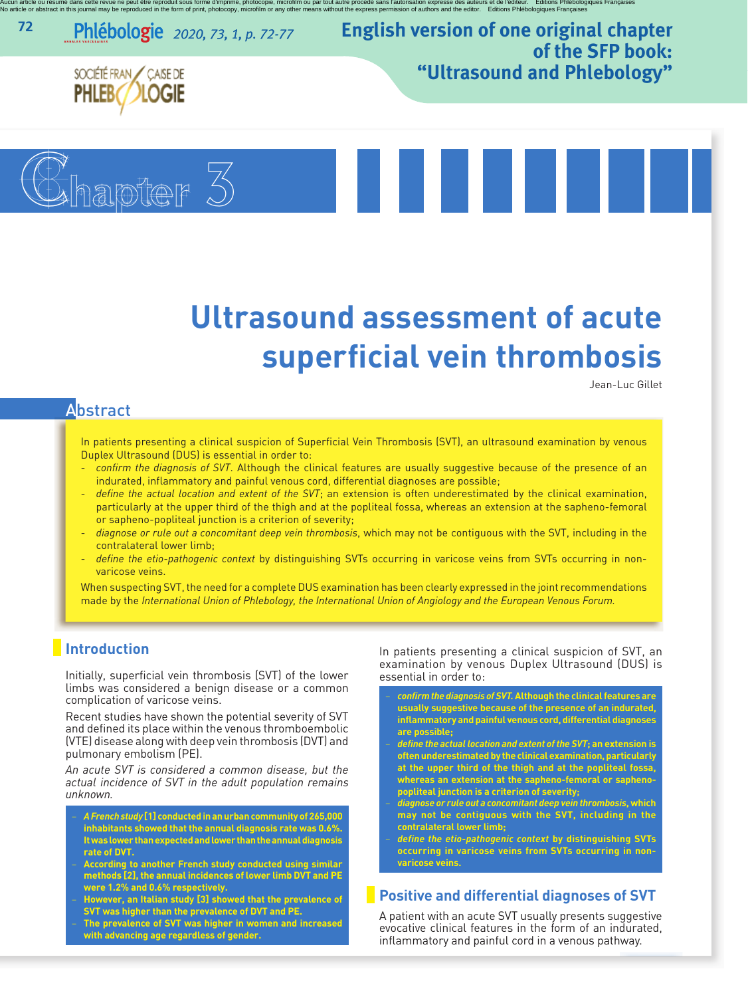Aucun article ou résumé dans cette repeut être reproduit sous forme d'inprimé, photocopie, microfilm ou par tout autre procéde sans l'autorisation expresse des auteurs et de l'éditeur. Editions Phiébologiques Françaises<br>No

*2020, <sup>73</sup>, <sup>1</sup>, p. 72-77* **english version of one original chapter of the sfP book: "Ultrasound and Phlebology"**



SOCIÉTÉ FRAN CAISE DE

**72**



Jean-Luc Gillet

# **Abstract**

In patients presenting a clinical suspicion of Superficial Vein Thrombosis (SVT), an ultrasound examination by venous Duplex Ultrasound (DUS) is essential in order to:

- *confirm the diagnosis of SVT*. Although the clinical features are usually suggestive because of the presence of an indurated, inflammatory and painful venous cord, differential diagnoses are possible;
- *define the actual location and extent of the SVT*; an extension is often underestimated by the clinical examination, particularly at the upper third of the thigh and at the popliteal fossa, whereas an extension at the sapheno-femoral or sapheno-popliteal junction is a criterion of severity;
- *diagnose or rule out a concomitant deep vein thrombosis*, which may not be contiguous with the SVT, including in the contralateral lower limb;
- *define the etio-pathogenic context* by distinguishing SVTs occurring in varicose veins from SVTs occurring in nonvaricose veins.

When suspecting SVT, the need for a complete DUS examination has been clearly expressed in the joint recommendations made by the *International Union of Phlebology, the International Union of Angiology and the European Venous Forum.*

## **Introduction**

Initially, superficial vein thrombosis (SVT) of the lower limbs was considered a benign disease or a common complication of varicose veins.

Recent studies have shown the potential severity of SVT and defined its place within the venous thromboembolic (VTE) disease along with deep vein thrombosis (DVT) and pulmonary embolism (PE).

*An acute SVT is considered a common disease, but the actual incidence of SVT in the adult population remains unknown.*

- − *A Frenchstudy* **[1] conductedinanurbancommunity of265,000 inhabitants showed that the annual diagnosis rate was 0.6%. Itwas lower thanexpectedandlower than theannualdiagnosis rate of DVT.**
- According to another French study conducted using similar<br>methods [2], the annual incidences of lower limb DVT and PE **were 1.2% and 0.6% respectively.**
- − **However, an Italian study [3] showed that the prevalence of SVT was higher than the prevalence of DVT and PE.**
- − **The prevalence of SVT was higher in women and increased with advancing age regardless of gender.**

In patients presenting a clinical suspicion of SVT, an examination by venous Duplex Ultrasound (DUS) is essential in order to:

- − *confirm the diagnosis of SVT.***Although the clinicalfeatures are usually suggestive because of the presence of an indurated, inflammatory and painful venous cord, differential diagnoses are possible;**
- − *define the actual location and extent of the SVT***; an extension is oftenunderestimatedby theclinical examination,particularly at the upper third of the thigh and at the popliteal fossa, whereas an extension at the sapheno-femoral or saphenopopliteal junction is a criterion of severity;**
- − *diagnose or rule out a concomitant deep vein thrombosis***, which may not be contiguous with the SVT, including in the contralateral lower limb;**
- − *define the etio-pathogenic context* **by distinguishing SVTs occurring in varicose veins from SVTs occurring in nonvaricose veins.**

#### **Positive and differential diagnoses of SVT**

A patient with an acute SVT usually presents suggestive evocative clinical features in the form of an indurated, inflammatory and painful cord in a venous pathway.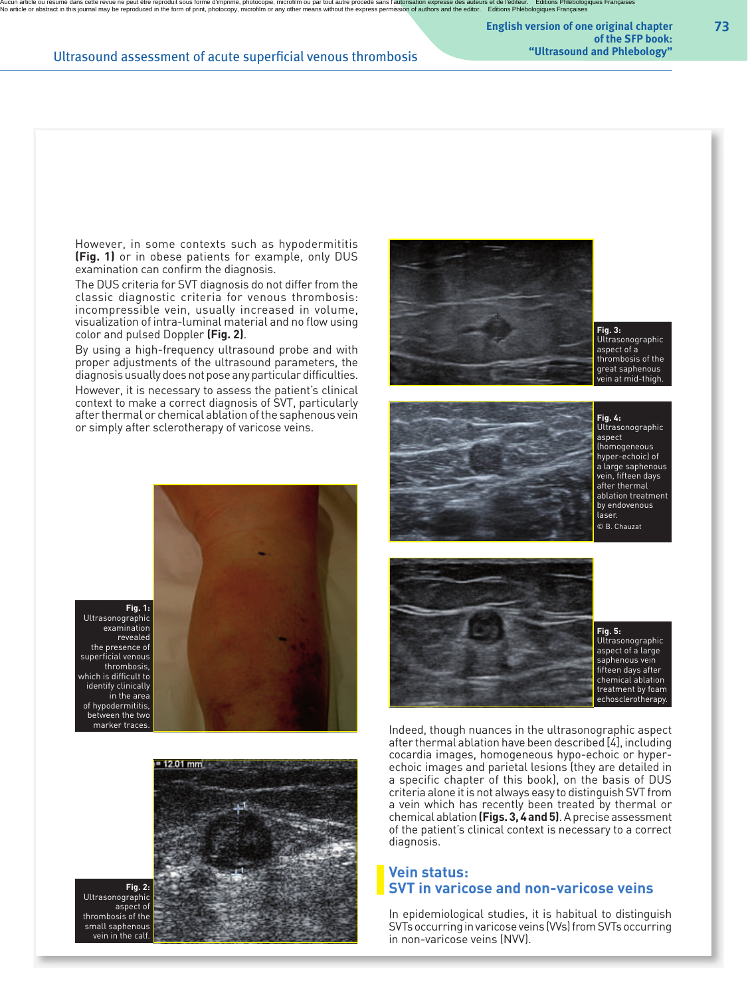Aucun article ou résumé dans cette reven e peut être reproduit sous forme d'impriné, photocopie, microfilm ou par tout autre procéde sans l'autorisation expresse des auteurs et de l'éditeur. Editions Phiébologiques Françai

**english version of one original chapter of the sfP book:**

#### **Ultrasound assessment of acute superficial venous thrombosis**

However, in some contexts such as hypodermititis **(Fig. 1)** or in obese patients for example, only DUS examination can confirm the diagnosis.

The DUS criteria for SVT diagnosis do not differ from the classic diagnostic criteria for venous thrombosis: incompressible vein, usually increased in volume, visualization of intra-luminal material and no flow using color and pulsed Doppler **(Fig. 2)**.

By using a high-frequency ultrasound probe and with proper adjustments of the ultrasound parameters, the diagnosis usually does not pose any particular difficulties.

However, it is necessary to assess the patient's clinical context to make a correct diagnosis of SVT, particularly after thermal or chemical ablation of the saphenous vein or simply after sclerotherapy of varicose veins.





**Fig. 2:** Ultrasonographic aspect of thrombosis of the small saphenous vein in the calf.











Ultrasonographic aspect of a large saphenous vein fifteen days after chemical ablation treatment by foam echosclerotherapy.

Indeed, though nuances in the ultrasonographic aspect after thermal ablation have been described [4], including cocardia images, homogeneous hypo-echoic or hyperechoic images and parietal lesions (they are detailed in a specific chapter of this book), on the basis of DUS criteria alone it is not always easy to distinguish SVT from a vein which has recently been treated by thermal or chemical ablation**(Figs.3,4 and5)**. Aprecise assessment of the patient's clinical context is necessary to a correct diagnosis.

### **Vein status: SVT in varicose and non-varicose veins**

In epidemiological studies, it is habitual to distinguish SVTs occurring in varicose veins (VVs) from SVTs occurring in non-varicose veins (NVV).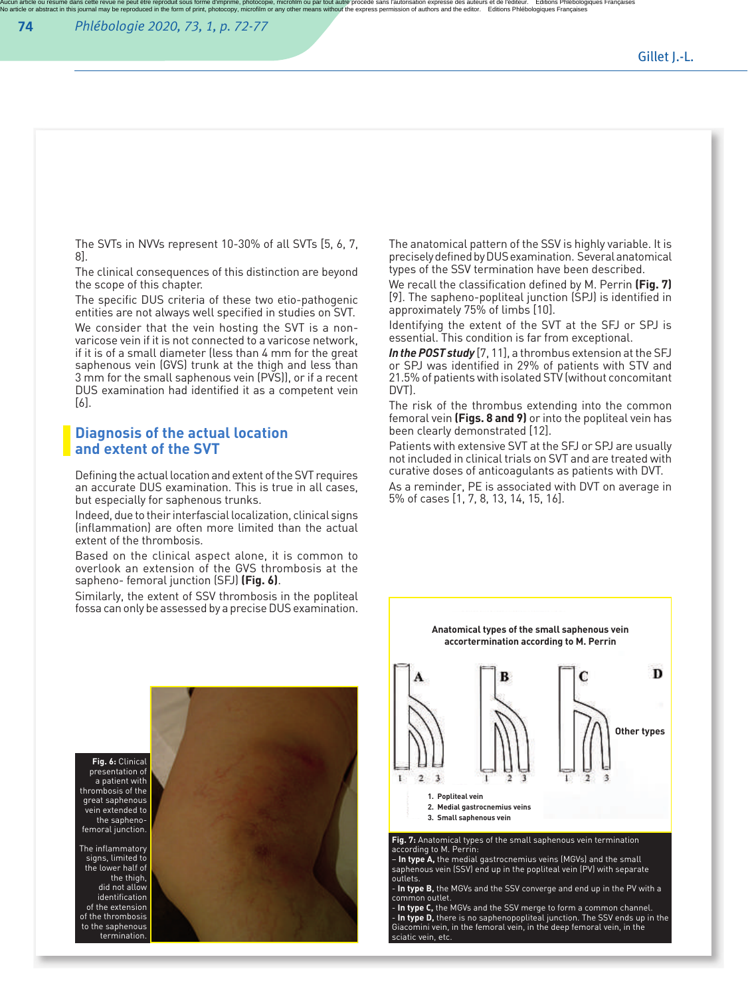Aucun article ou résumé dans cette repeut être reproduit sous forme d'inprimé, photocopie, microfilm ou par tout autre procéde sans l'autorisation expresse des auteurs et de l'éditeur. Editions Phiébologiques Françaises<br>No

The SVTs in NVVs represent 10-30% of all SVTs [5, 6, 7, 8].

The clinical consequences of this distinction are beyond the scope of this chapter.

The specific DUS criteria of these two etio-pathogenic entities are not always well specified in studies on SVT. We consider that the vein hosting the SVT is a nonvaricose vein if it is not connected to a varicose network, if it is of a small diameter (less than 4 mm for the great saphenous vein (GVS) trunk at the thigh and less than 3 mm for the small saphenous vein (PVS), or if a recent DUS examination had identified it as a competent vein [6].

### **Diagnosis of the actual location and extent of the SVT**

Defining the actual location and extent of the SVT requires an accurate DUS examination. This is true in all cases, but especially for saphenous trunks.

Indeed, due to their interfascial localization, clinical signs (inflammation) are often more limited than the actual extent of the thrombosis.

Based on the clinical aspect alone, it is common to overlook an extension of the GVS thrombosis at the sapheno- femoral junction (SFJ) **(Fig. 6)**.

Similarly, the extent of SSV thrombosis in the popliteal fossa can only be assessed by a precise DUS examination.

The anatomical pattern of the SSV is highly variable. It is precisely defined by DUS examination. Several anatomical types of the SSV termination have been described.

We recall the classification defined by M. Perrin **(Fig. 7)** [9]. The sapheno-popliteal junction (SPJ) is identified in approximately 75% of limbs [10].

Identifying the extent of the SVT at the SFJ or SPJ is essential. This condition is far from exceptional.

In the POST study [7, 11], a thrombus extension at the SFJ or SPJ was identified in 29% of patients with STV and 21.5% of patients with isolated STV (without concomitant DVT).

The risk of the thrombus extending into the common femoral vein **(Figs. 8 and 9)** or into the popliteal vein has been clearly demonstrated [12].

Patients with extensive SVT at the SFJ or SPJ are usually not included in clinical trials on SVT and are treated with curative doses of anticoagulants as patients with DVT.

As a reminder, PE is associated with DVT on average in 5% of cases [1, 7, 8, 13, 14, 15, 16].





according to M. Perrin: – **In type A,** the medial gastrocnemius veins (MGVs) and the small saphenous vein (SSV) end up in the popliteal vein (PV) with separate

outlets.

- **In type B,** the MGVs and the SSV converge and end up in the PV with a common outlet.

**- In type C,** the MGVs and the SSV merge to form a common channel.<br>**- In type D,** there is no saphenopopliteal junction. The SSV ends up in the<br>Giacomini vein, in the femoral vein, in the deep femoral vein, in the sciatic vein, etc.

presentation of a patient with thrombosis of the great saphenous vein extended to the saphenofemoral junction.

> The inflammatory signs, limited to the lower half of the thigh,<br>did not allow identification of the extension of the thrombosis to the saphenous termination.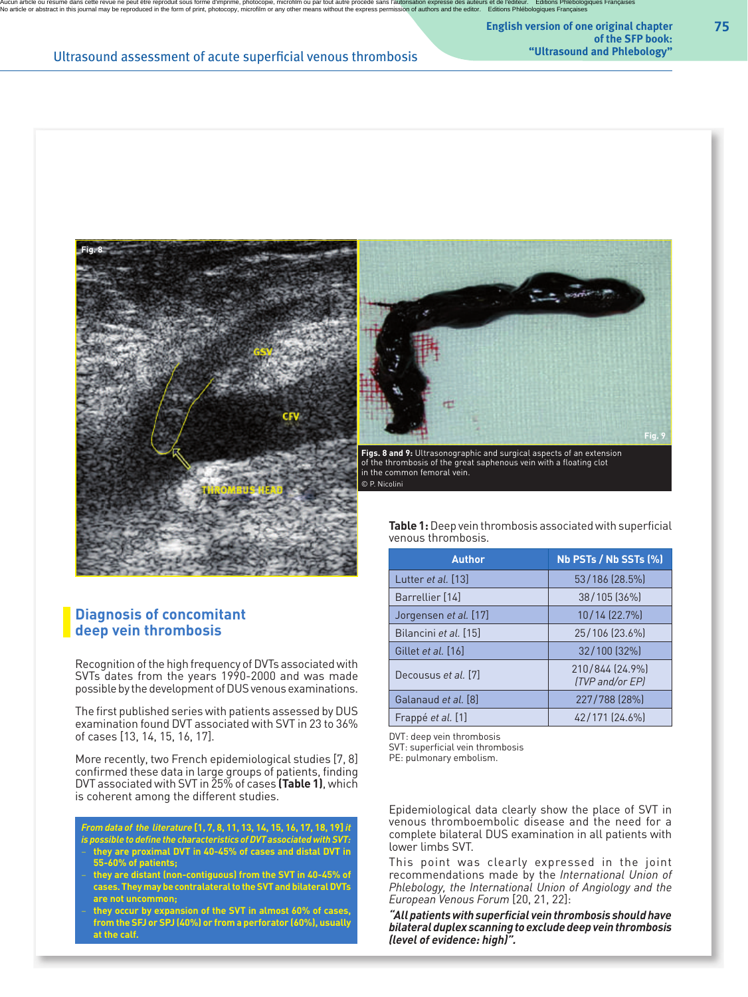Aucun article ou résumé dans cette reven e peut être reproduit sous forme d'impriné, photocopie, microfilm ou par tout autre procéde sans l'autorisation expresse des auteurs et de l'éditeur. Editions Phiébologiques Françai

**Ultrasound assessment of acute superficial venous thrombosis** 

**english version of one original chapter of the sfP book:**



**Figs. 8 and 9:** Ultrasonographic and surgical aspects of an extension of the thrombosis of the great saphenous vein with a floating clot in the common femoral vein. © P. Nicolini

**Diagnosis of concomitant deep vein thrombosis**

**Fig. 8**

Recognition of the high frequency of DVTs associated with SVTs dates from the years 1990-2000 and was made possible by the development of DUS venous examinations.

The first published series with patients assessed by DUS examination found DVT associated with SVT in 23 to 36% of cases [13, 14, 15, 16, 17].

More recently, two French epidemiological studies [7, 8] confirmed these data in large groups of patients, finding DVT associated with SVT in 25% of cases **(Table 1)**, which is coherent among the different studies.

*From data of the literature* **[1, 7, 8, 11, 13, 14, 15, 16, 17, 18, 19]***it is possible to define the characteristics ofDVT associated with SVT:*

- − **they are proximal DVT in 40-45% of cases and distal DVT in 55-60% of patients;**
- − **they are distant (non-contiguous) from the SVT in 40-45% of** cases. They may be contralateral to the SVT and bilateral DVTs **are not uncommon;**
- − **they occur by expansion of the SVT in almost 60% of cases, from the SFJ or SPJ (40%) or from a perforator (60%), usually at the calf.**

**Table 1:**Deep vein thrombosis associatedwith superficial venous thrombosis.

**Fig. 9**

| <b>Author</b>         | Nb PSTs / Nb SSTs (%)              |
|-----------------------|------------------------------------|
| Lutter et al. [13]    | 53/186 (28.5%)                     |
| Barrellier [14]       | 38/105 (36%)                       |
| Jorgensen et al. [17] | 10/14 (22.7%)                      |
| Bilancini et al. [15] | 25/106 (23.6%)                     |
| Gillet et al. [16]    | 32/100 [32%]                       |
| Decousus et al. [7]   | 210/844 (24.9%)<br>(TVP and/or EP) |
| Galanaud et al. [8]   | 227/788 (28%)                      |
| Frappé et al. [1]     | 42/171 (24.6%)                     |

DVT: deep vein thrombosis SVT: superficial vein thrombosis

PE: pulmonary embolism.

Epidemiological data clearly show the place of SVT in venous thromboembolic disease and the need for a complete bilateral DUS examination in all patients with lower limbs SVT.

This point was clearly expressed in the joint recommendations made by the *International Union of Phlebology, the International Union of Angiology and the European Venous Forum* [20, 21, 22]:

*"Allpatientswithsuperficial veinthrombosis shouldhave bilateral duplex scanning to excludedeepveinthrombosis (level of evidence: high)".*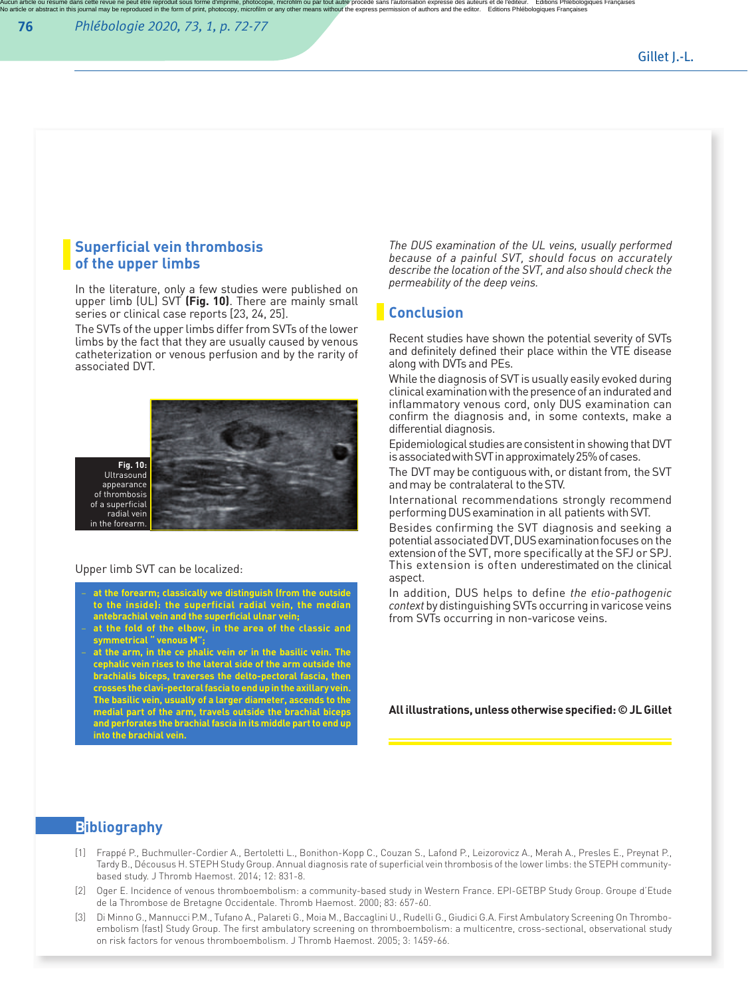Aucun article ou résumé dans cette repeut être reproduit sous forme d'inprimé, photocopie, microfilm ou par tout autre procéde sans l'autorisation expresse des auteurs et de l'éditeur. Editions Phiébologiques Françaises<br>No

#### **Superficial vein thrombosis of the upper limbs**

In the literature, only a few studies were published on upper limb (UL) SVT **(Fig. 10)**. There are mainly small series or clinical case reports [23, 24, 25].

The SVTs of the upper limbs differ from SVTs of the lower limbs by the fact that they are usually caused by venous catheterization or venous perfusion and by the rarity of associated DVT.



#### Upper limb SVT can be localized:

- − **at the forearm; classically we distinguish (from the outside to the inside): the superficial radial vein, the median antebrachial vein and the superficial ulnar vein;**
- − **at the fold of the elbow, in the area of the classic and symmetrical " venous M";**
- − **at the arm, in the ce phalic vein or in the basilic vein. The cephalic vein rises to the lateral side of the arm outside the brachialis biceps, traverses the delto-pectoral fascia, then crosses the clavi-pectoral fascia to end up inthe axillary vein. The basilic vein, usually ofalarger diameter, ascends to the medial part of the arm, travels outside the brachial biceps and perforates the brachialfascia in its middle partto end up into the brachial vein.**

*The DUS examination of the UL veins, usually performed because of a painful SVT, should focus on accurately describe the location of the SVT, and also should check the permeability of the deep veins.*

#### **Conclusion**

Recent studies have shown the potential severity of SVTs and definitely defined their place within the VTE disease along with DVTs and PEs.

While the diagnosis of SVT is usually easily evoked during clinical examination with the presence of an indurated and inflammatory venous cord, only DUS examination can confirm the diagnosis and, in some contexts, make a differential diagnosis.

Epidemiological studies are consistent in showing that DVT is associated with SVT in approximately 25% of cases.

The DVT may be contiguous with, or distant from, the SVT andmay be contralateral to theSTV.

International recommendations strongly recommend performingDUSexamination in all patients withSVT.

Besides confirming the SVT diagnosis and seeking a potential associatedDVT,DUSexaminationfocuses on the extensionof the SVT, more specifically at the SFJ or SPJ. This extension is often underestimated on the clinical aspect.

In addition, DUS helps to define *the etio-pathogenic context* by distinguishing SVTs occurring in varicose veins from SVTs occurring in non-varicose veins.

**All illustrations, unless otherwise specified:©JL Gillet**

### **Bibliography**

- [1] Frappé P., Buchmuller-Cordier A., Bertoletti L., Bonithon-Kopp C., Couzan S., Lafond P., Leizorovicz A., Merah A., Presles E., Preynat P., Tardy B., Décousus H. STEPH Study Group. Annual diagnosis rate of superficial vein thrombosis of the lower limbs: the STEPH communitybased study. J Thromb Haemost. 2014; 12: 831-8.
- [2] Oger E. Incidence of venous thromboembolism: a community-based study in Western France. EPI-GETBP Study Group. Groupe d'Etude de la Thrombose de Bretagne Occidentale. Thromb Haemost. 2000; 83: 657-60.
- [3] Di Minno G., Mannucci P.M., Tufano A., Palareti G., Moia M., Baccaglini U., Rudelli G., Giudici G.A. First Ambulatory Screening On Thromboembolism (fast) Study Group. The first ambulatory screening on thromboembolism: a multicentre, cross-sectional, observational study on risk factors for venous thromboembolism. J Thromb Haemost. 2005; 3: 1459-66.